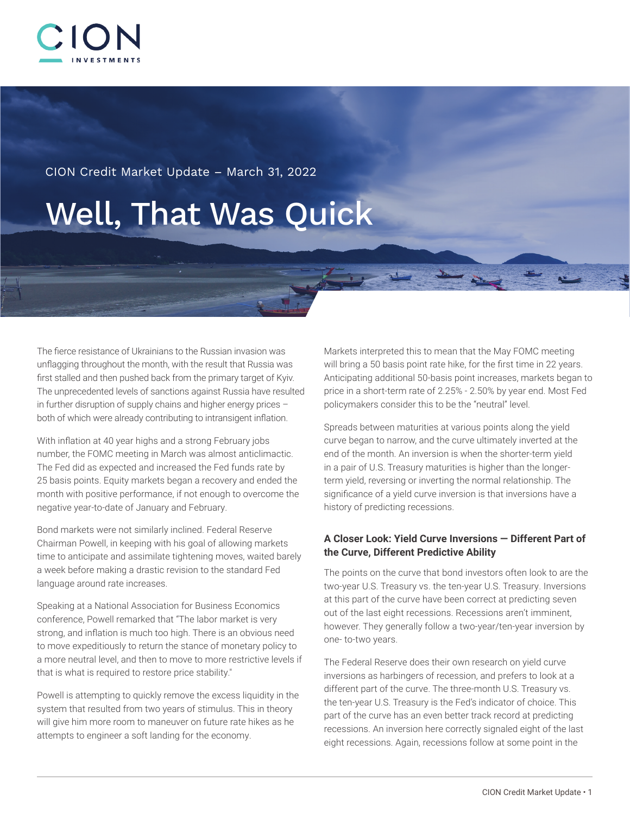

CION Credit Market Update – March 31, 2022

# Well, That Was Quick

The fierce resistance of Ukrainians to the Russian invasion was unflagging throughout the month, with the result that Russia was first stalled and then pushed back from the primary target of Kyiv. The unprecedented levels of sanctions against Russia have resulted in further disruption of supply chains and higher energy prices – both of which were already contributing to intransigent inflation.

With inflation at 40 year highs and a strong February jobs number, the FOMC meeting in March was almost anticlimactic. The Fed did as expected and increased the Fed funds rate by 25 basis points. Equity markets began a recovery and ended the month with positive performance, if not enough to overcome the negative year-to-date of January and February.

Bond markets were not similarly inclined. Federal Reserve Chairman Powell, in keeping with his goal of allowing markets time to anticipate and assimilate tightening moves, waited barely a week before making a drastic revision to the standard Fed language around rate increases.

Speaking at a National Association for Business Economics conference, Powell remarked that "The labor market is very strong, and inflation is much too high. There is an obvious need to move expeditiously to return the stance of monetary policy to a more neutral level, and then to move to more restrictive levels if that is what is required to restore price stability."

Powell is attempting to quickly remove the excess liquidity in the system that resulted from two years of stimulus. This in theory will give him more room to maneuver on future rate hikes as he attempts to engineer a soft landing for the economy.

Markets interpreted this to mean that the May FOMC meeting will bring a 50 basis point rate hike, for the first time in 22 years. Anticipating additional 50-basis point increases, markets began to price in a short-term rate of 2.25% - 2.50% by year end. Most Fed policymakers consider this to be the "neutral" level.

Spreads between maturities at various points along the yield curve began to narrow, and the curve ultimately inverted at the end of the month. An inversion is when the shorter-term yield in a pair of U.S. Treasury maturities is higher than the longerterm yield, reversing or inverting the normal relationship. The significance of a yield curve inversion is that inversions have a history of predicting recessions.

### **A Closer Look: Yield Curve Inversions — Different Part of the Curve, Different Predictive Ability**

The points on the curve that bond investors often look to are the two-year U.S. Treasury vs. the ten-year U.S. Treasury. Inversions at this part of the curve have been correct at predicting seven out of the last eight recessions. Recessions aren't imminent, however. They generally follow a two-year/ten-year inversion by one- to-two years.

The Federal Reserve does their own research on yield curve inversions as harbingers of recession, and prefers to look at a different part of the curve. The three-month U.S. Treasury vs. the ten-year U.S. Treasury is the Fed's indicator of choice. This part of the curve has an even better track record at predicting recessions. An inversion here correctly signaled eight of the last eight recessions. Again, recessions follow at some point in the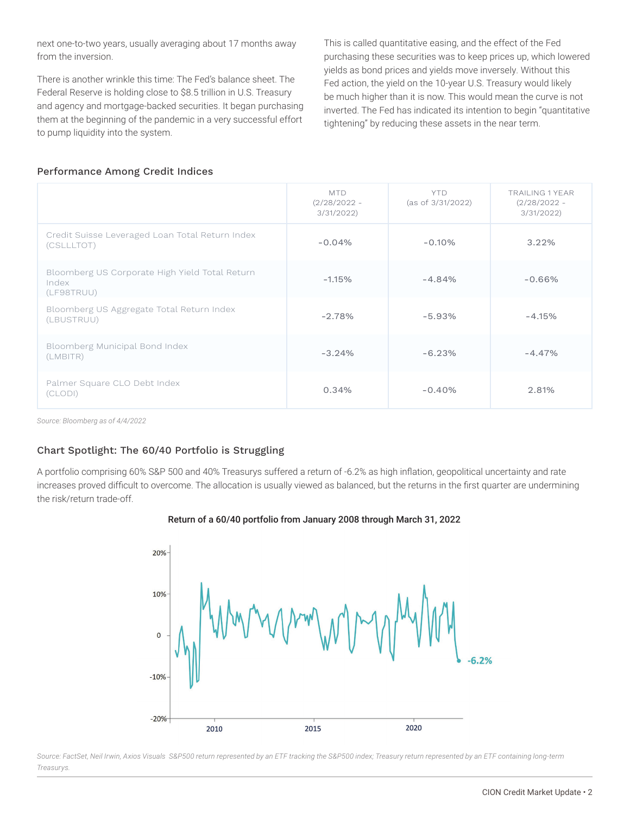next one-to-two years, usually averaging about 17 months away from the inversion.

There is another wrinkle this time: The Fed's balance sheet. The Federal Reserve is holding close to \$8.5 trillion in U.S. Treasury and agency and mortgage-backed securities. It began purchasing them at the beginning of the pandemic in a very successful effort to pump liquidity into the system.

This is called quantitative easing, and the effect of the Fed purchasing these securities was to keep prices up, which lowered yields as bond prices and yields move inversely. Without this Fed action, the yield on the 10-year U.S. Treasury would likely be much higher than it is now. This would mean the curve is not inverted. The Fed has indicated its intention to begin "quantitative tightening" by reducing these assets in the near term.

#### Performance Among Credit Indices

|                                                                       | <b>MTD</b><br>$(2/28/2022 -$<br>3/31/2022 | <b>YTD</b><br>(as of 3/31/2022) | TRAILING 1 YEAR<br>$(2/28/2022 -$<br>3/31/2022 |
|-----------------------------------------------------------------------|-------------------------------------------|---------------------------------|------------------------------------------------|
| Credit Suisse Leveraged Loan Total Return Index<br>(CSLLLTOT)         | $-0.04%$                                  | $-0.10%$                        | 3.22%                                          |
| Bloomberg US Corporate High Yield Total Return<br>Index<br>(LF98TRUU) | $-1.15%$                                  | $-4.84%$                        | $-0.66%$                                       |
| Bloomberg US Aggregate Total Return Index<br>(LBUSTRUU)               | $-2.78%$                                  | $-5.93%$                        | $-4.15%$                                       |
| Bloomberg Municipal Bond Index<br>(LMBITR)                            | $-3.24%$                                  | $-6.23%$                        | $-4.47%$                                       |
| Palmer Square CLO Debt Index<br>(CLODI)                               | 0.34%                                     | $-0.40%$                        | 2.81%                                          |

*Source: Bloomberg as of 4/4/2022*

### Chart Spotlight: The 60/40 Portfolio is Struggling

A portfolio comprising 60% S&P 500 and 40% Treasurys suffered a return of -6.2% as high inflation, geopolitical uncertainty and rate increases proved difficult to overcome. The allocation is usually viewed as balanced, but the returns in the first quarter are undermining the risk/return trade-off.



#### Return of a 60/40 portfolio from January 2008 through March 31, 2022

*Source: FactSet, Neil Irwin, Axios Visuals S&P500 return represented by an ETF tracking the S&P500 index; Treasury return represented by an ETF containing long-term Treasurys.*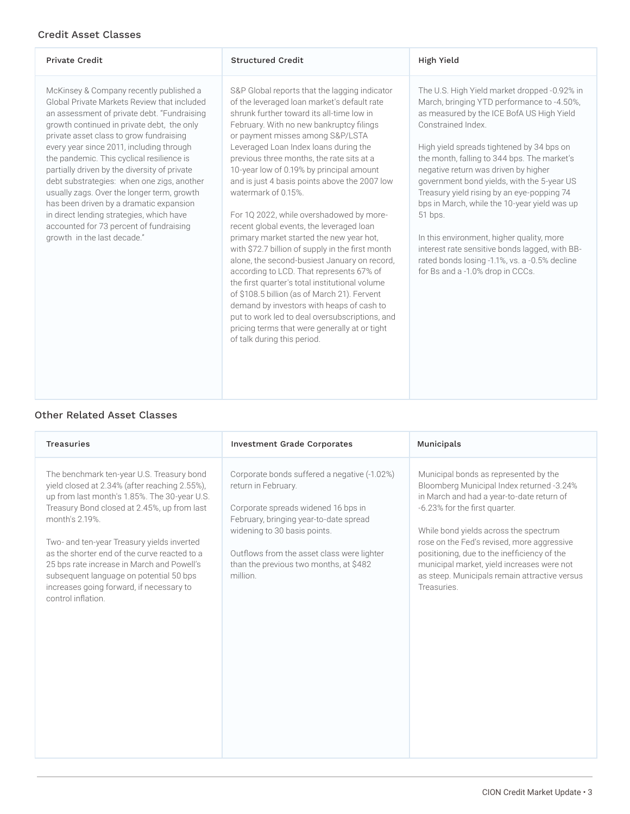## Credit Asset Classes

| <b>Private Credit</b>                                                                                                                                                                                                                                                                                                                                                                                                                                                                                                                                                                                                                | <b>Structured Credit</b>                                                                                                                                                                                                                                                                                                                                                                                                                                                                                                                                                                                                                                                                                                                                                                                                                                                                                                                                                                                 | High Yield                                                                                                                                                                                                                                                                                                                                                                                                                                                                                                                                                                                                                                   |
|--------------------------------------------------------------------------------------------------------------------------------------------------------------------------------------------------------------------------------------------------------------------------------------------------------------------------------------------------------------------------------------------------------------------------------------------------------------------------------------------------------------------------------------------------------------------------------------------------------------------------------------|----------------------------------------------------------------------------------------------------------------------------------------------------------------------------------------------------------------------------------------------------------------------------------------------------------------------------------------------------------------------------------------------------------------------------------------------------------------------------------------------------------------------------------------------------------------------------------------------------------------------------------------------------------------------------------------------------------------------------------------------------------------------------------------------------------------------------------------------------------------------------------------------------------------------------------------------------------------------------------------------------------|----------------------------------------------------------------------------------------------------------------------------------------------------------------------------------------------------------------------------------------------------------------------------------------------------------------------------------------------------------------------------------------------------------------------------------------------------------------------------------------------------------------------------------------------------------------------------------------------------------------------------------------------|
| McKinsey & Company recently published a<br>Global Private Markets Review that included<br>an assessment of private debt. "Fundraising<br>growth continued in private debt, the only<br>private asset class to grow fundraising<br>every year since 2011, including through<br>the pandemic. This cyclical resilience is<br>partially driven by the diversity of private<br>debt substrategies: when one zigs, another<br>usually zags. Over the longer term, growth<br>has been driven by a dramatic expansion<br>in direct lending strategies, which have<br>accounted for 73 percent of fundraising<br>growth in the last decade." | S&P Global reports that the lagging indicator<br>of the leveraged loan market's default rate<br>shrunk further toward its all-time low in<br>February. With no new bankruptcy filings<br>or payment misses among S&P/LSTA<br>Leveraged Loan Index loans during the<br>previous three months, the rate sits at a<br>10-year low of 0.19% by principal amount<br>and is just 4 basis points above the 2007 low<br>watermark of 0.15%.<br>For 1Q 2022, while overshadowed by more-<br>recent global events, the leveraged loan<br>primary market started the new year hot,<br>with \$72.7 billion of supply in the first month<br>alone, the second-busiest January on record,<br>according to LCD. That represents 67% of<br>the first quarter's total institutional volume<br>of \$108.5 billion (as of March 21). Fervent<br>demand by investors with heaps of cash to<br>put to work led to deal oversubscriptions, and<br>pricing terms that were generally at or tight<br>of talk during this period. | The U.S. High Yield market dropped -0.92% in<br>March, bringing YTD performance to -4.50%,<br>as measured by the ICE BofA US High Yield<br>Constrained Index.<br>High yield spreads tightened by 34 bps on<br>the month, falling to 344 bps. The market's<br>negative return was driven by higher<br>government bond yields, with the 5-year US<br>Treasury yield rising by an eye-popping 74<br>bps in March, while the 10-year yield was up<br>51 bps.<br>In this environment, higher quality, more<br>interest rate sensitive bonds lagged, with BB-<br>rated bonds losing -1.1%, vs. a -0.5% decline<br>for Bs and a -1.0% drop in CCCs. |

### Other Related Asset Classes

| <b>Treasuries</b>                                                                                                                                                                                                                                                                                                                                                                                                                                                    | <b>Investment Grade Corporates</b>                                                                                                                                                                                                                                                       | Municipals                                                                                                                                                                                                                                                                                                                                                                                                           |
|----------------------------------------------------------------------------------------------------------------------------------------------------------------------------------------------------------------------------------------------------------------------------------------------------------------------------------------------------------------------------------------------------------------------------------------------------------------------|------------------------------------------------------------------------------------------------------------------------------------------------------------------------------------------------------------------------------------------------------------------------------------------|----------------------------------------------------------------------------------------------------------------------------------------------------------------------------------------------------------------------------------------------------------------------------------------------------------------------------------------------------------------------------------------------------------------------|
| The benchmark ten-year U.S. Treasury bond<br>yield closed at 2.34% (after reaching 2.55%),<br>up from last month's 1.85%. The 30-year U.S.<br>Treasury Bond closed at 2.45%, up from last<br>month's 2.19%.<br>Two- and ten-year Treasury yields inverted<br>as the shorter end of the curve reacted to a<br>25 bps rate increase in March and Powell's<br>subsequent language on potential 50 bps<br>increases going forward, if necessary to<br>control inflation. | Corporate bonds suffered a negative (-1.02%)<br>return in February.<br>Corporate spreads widened 16 bps in<br>February, bringing year-to-date spread<br>widening to 30 basis points.<br>Outflows from the asset class were lighter<br>than the previous two months, at \$482<br>million. | Municipal bonds as represented by the<br>Bloomberg Municipal Index returned -3.24%<br>in March and had a year-to-date return of<br>-6.23% for the first quarter.<br>While bond yields across the spectrum<br>rose on the Fed's revised, more aggressive<br>positioning, due to the inefficiency of the<br>municipal market, yield increases were not<br>as steep. Municipals remain attractive versus<br>Treasuries. |